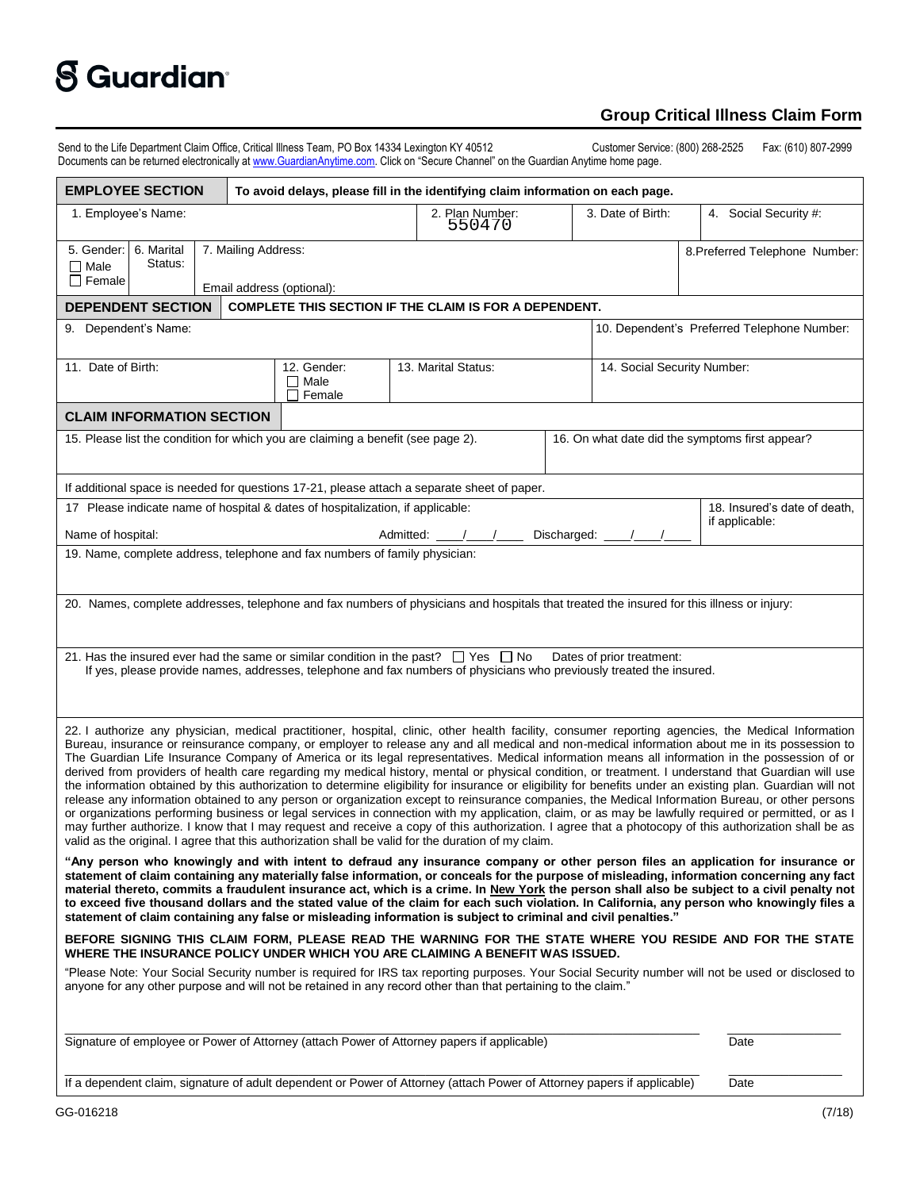## **S** Guardian<sup>®</sup>

## **Group Critical Illness Claim Form**

Send to the Life Department Claim Office, Critical Illness Team, PO Box 14334 Lexington KY 40512 Customer Service: (800) 268-2525 Fax: (610) 807-2999 Documents can be returned electronically a[t www.GuardianAnytime.com](http://www.guardiananytime.com/). Click on "Secure Channel" on the Guardian Anytime home page.

| <b>EMPLOYEE SECTION</b><br>To avoid delays, please fill in the identifying claim information on each page.                                                                                                                                                                                                                                                                                                                                                                                                                                                                                                                                                                                                                                                                                                                                                                                                                                                                                                                                                                                                                                                                                                                                                                                                                                                |                     |                           |                                             |  |                                |
|-----------------------------------------------------------------------------------------------------------------------------------------------------------------------------------------------------------------------------------------------------------------------------------------------------------------------------------------------------------------------------------------------------------------------------------------------------------------------------------------------------------------------------------------------------------------------------------------------------------------------------------------------------------------------------------------------------------------------------------------------------------------------------------------------------------------------------------------------------------------------------------------------------------------------------------------------------------------------------------------------------------------------------------------------------------------------------------------------------------------------------------------------------------------------------------------------------------------------------------------------------------------------------------------------------------------------------------------------------------|---------------------|---------------------------|---------------------------------------------|--|--------------------------------|
| 1. Employee's Name:                                                                                                                                                                                                                                                                                                                                                                                                                                                                                                                                                                                                                                                                                                                                                                                                                                                                                                                                                                                                                                                                                                                                                                                                                                                                                                                                       |                     | 2. Plan Number:<br>550470 | 3. Date of Birth:                           |  | 4. Social Security #:          |
| 5. Gender:<br>6. Marital<br>7. Mailing Address:<br>Status:<br>$\Box$ Male<br>$\Box$ Female<br>Email address (optional):                                                                                                                                                                                                                                                                                                                                                                                                                                                                                                                                                                                                                                                                                                                                                                                                                                                                                                                                                                                                                                                                                                                                                                                                                                   |                     |                           |                                             |  | 8. Preferred Telephone Number: |
| COMPLETE THIS SECTION IF THE CLAIM IS FOR A DEPENDENT.<br><b>DEPENDENT SECTION</b>                                                                                                                                                                                                                                                                                                                                                                                                                                                                                                                                                                                                                                                                                                                                                                                                                                                                                                                                                                                                                                                                                                                                                                                                                                                                        |                     |                           |                                             |  |                                |
| 9. Dependent's Name:                                                                                                                                                                                                                                                                                                                                                                                                                                                                                                                                                                                                                                                                                                                                                                                                                                                                                                                                                                                                                                                                                                                                                                                                                                                                                                                                      |                     |                           | 10. Dependent's Preferred Telephone Number: |  |                                |
| 11. Date of Birth:                                                                                                                                                                                                                                                                                                                                                                                                                                                                                                                                                                                                                                                                                                                                                                                                                                                                                                                                                                                                                                                                                                                                                                                                                                                                                                                                        | 13. Marital Status: |                           | 14. Social Security Number:                 |  |                                |
| <b>CLAIM INFORMATION SECTION</b>                                                                                                                                                                                                                                                                                                                                                                                                                                                                                                                                                                                                                                                                                                                                                                                                                                                                                                                                                                                                                                                                                                                                                                                                                                                                                                                          |                     |                           |                                             |  |                                |
| 15. Please list the condition for which you are claiming a benefit (see page 2).<br>16. On what date did the symptoms first appear?                                                                                                                                                                                                                                                                                                                                                                                                                                                                                                                                                                                                                                                                                                                                                                                                                                                                                                                                                                                                                                                                                                                                                                                                                       |                     |                           |                                             |  |                                |
| If additional space is needed for questions 17-21, please attach a separate sheet of paper.                                                                                                                                                                                                                                                                                                                                                                                                                                                                                                                                                                                                                                                                                                                                                                                                                                                                                                                                                                                                                                                                                                                                                                                                                                                               |                     |                           |                                             |  |                                |
| 17 Please indicate name of hospital & dates of hospitalization, if applicable:                                                                                                                                                                                                                                                                                                                                                                                                                                                                                                                                                                                                                                                                                                                                                                                                                                                                                                                                                                                                                                                                                                                                                                                                                                                                            |                     |                           |                                             |  | 18. Insured's date of death,   |
| Name of hospital:<br>Discharged:<br>Admitted:                                                                                                                                                                                                                                                                                                                                                                                                                                                                                                                                                                                                                                                                                                                                                                                                                                                                                                                                                                                                                                                                                                                                                                                                                                                                                                             |                     |                           |                                             |  | if applicable:                 |
| 19. Name, complete address, telephone and fax numbers of family physician:                                                                                                                                                                                                                                                                                                                                                                                                                                                                                                                                                                                                                                                                                                                                                                                                                                                                                                                                                                                                                                                                                                                                                                                                                                                                                |                     |                           |                                             |  |                                |
| 20. Names, complete addresses, telephone and fax numbers of physicians and hospitals that treated the insured for this illness or injury:                                                                                                                                                                                                                                                                                                                                                                                                                                                                                                                                                                                                                                                                                                                                                                                                                                                                                                                                                                                                                                                                                                                                                                                                                 |                     |                           |                                             |  |                                |
|                                                                                                                                                                                                                                                                                                                                                                                                                                                                                                                                                                                                                                                                                                                                                                                                                                                                                                                                                                                                                                                                                                                                                                                                                                                                                                                                                           |                     |                           |                                             |  |                                |
| 21. Has the insured ever had the same or similar condition in the past? $\Box$ Yes $\Box$ No<br>Dates of prior treatment:<br>If yes, please provide names, addresses, telephone and fax numbers of physicians who previously treated the insured.                                                                                                                                                                                                                                                                                                                                                                                                                                                                                                                                                                                                                                                                                                                                                                                                                                                                                                                                                                                                                                                                                                         |                     |                           |                                             |  |                                |
| 22. I authorize any physician, medical practitioner, hospital, clinic, other health facility, consumer reporting agencies, the Medical Information<br>Bureau, insurance or reinsurance company, or employer to release any and all medical and non-medical information about me in its possession to<br>The Guardian Life Insurance Company of America or its legal representatives. Medical information means all information in the possession of or<br>derived from providers of health care regarding my medical history, mental or physical condition, or treatment. I understand that Guardian will use<br>the information obtained by this authorization to determine eligibility for insurance or eligibility for benefits under an existing plan. Guardian will not<br>release any information obtained to any person or organization except to reinsurance companies, the Medical Information Bureau, or other persons<br>or organizations performing business or legal services in connection with my application, claim, or as may be lawfully required or permitted, or as I<br>may further authorize. I know that I may request and receive a copy of this authorization. I agree that a photocopy of this authorization shall be as<br>valid as the original. I agree that this authorization shall be valid for the duration of my claim. |                     |                           |                                             |  |                                |
| "Any person who knowingly and with intent to defraud any insurance company or other person files an application for insurance or<br>statement of claim containing any materially false information, or conceals for the purpose of misleading, information concerning any fact<br>material thereto, commits a fraudulent insurance act, which is a crime. In New York the person shall also be subject to a civil penalty not<br>to exceed five thousand dollars and the stated value of the claim for each such violation. In California, any person who knowingly files a<br>statement of claim containing any false or misleading information is subject to criminal and civil penalties."                                                                                                                                                                                                                                                                                                                                                                                                                                                                                                                                                                                                                                                             |                     |                           |                                             |  |                                |
| BEFORE SIGNING THIS CLAIM FORM, PLEASE READ THE WARNING FOR THE STATE WHERE YOU RESIDE AND FOR THE STATE<br>WHERE THE INSURANCE POLICY UNDER WHICH YOU ARE CLAIMING A BENEFIT WAS ISSUED.                                                                                                                                                                                                                                                                                                                                                                                                                                                                                                                                                                                                                                                                                                                                                                                                                                                                                                                                                                                                                                                                                                                                                                 |                     |                           |                                             |  |                                |
| "Please Note: Your Social Security number is required for IRS tax reporting purposes. Your Social Security number will not be used or disclosed to<br>anyone for any other purpose and will not be retained in any record other than that pertaining to the claim."                                                                                                                                                                                                                                                                                                                                                                                                                                                                                                                                                                                                                                                                                                                                                                                                                                                                                                                                                                                                                                                                                       |                     |                           |                                             |  |                                |
| Signature of employee or Power of Attorney (attach Power of Attorney papers if applicable)                                                                                                                                                                                                                                                                                                                                                                                                                                                                                                                                                                                                                                                                                                                                                                                                                                                                                                                                                                                                                                                                                                                                                                                                                                                                |                     |                           |                                             |  | Date                           |
| If a dependent claim, signature of adult dependent or Power of Attorney (attach Power of Attorney papers if applicable)                                                                                                                                                                                                                                                                                                                                                                                                                                                                                                                                                                                                                                                                                                                                                                                                                                                                                                                                                                                                                                                                                                                                                                                                                                   |                     |                           |                                             |  | Date                           |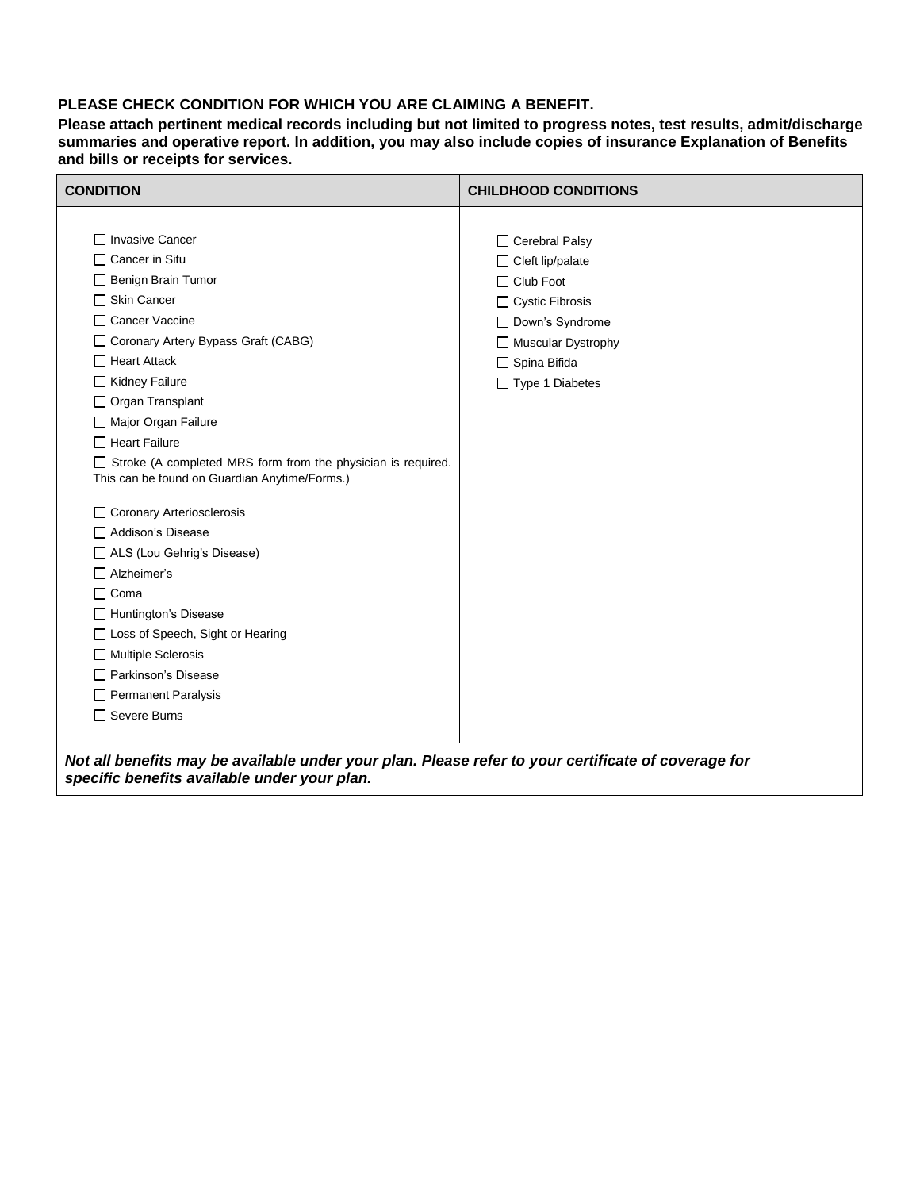## **PLEASE CHECK CONDITION FOR WHICH YOU ARE CLAIMING A BENEFIT.**

**Please attach pertinent medical records including but not limited to progress notes, test results, admit/discharge summaries and operative report. In addition, you may also include copies of insurance Explanation of Benefits and bills or receipts for services.**

| <b>CONDITION</b>                                                                                    | <b>CHILDHOOD CONDITIONS</b> |  |  |  |
|-----------------------------------------------------------------------------------------------------|-----------------------------|--|--|--|
|                                                                                                     |                             |  |  |  |
| □ Invasive Cancer                                                                                   | $\Box$ Cerebral Palsy       |  |  |  |
| $\Box$ Cancer in Situ                                                                               | □ Cleft lip/palate          |  |  |  |
| Benign Brain Tumor                                                                                  | □ Club Foot                 |  |  |  |
| $\Box$ Skin Cancer                                                                                  | $\Box$ Cystic Fibrosis      |  |  |  |
| □ Cancer Vaccine                                                                                    | Down's Syndrome             |  |  |  |
| □ Coronary Artery Bypass Graft (CABG)                                                               | Muscular Dystrophy          |  |  |  |
| $\Box$ Heart Attack                                                                                 | □ Spina Bifida              |  |  |  |
| □ Kidney Failure                                                                                    | □ Type 1 Diabetes           |  |  |  |
| $\Box$ Organ Transplant                                                                             |                             |  |  |  |
| Major Organ Failure                                                                                 |                             |  |  |  |
| $\Box$ Heart Failure                                                                                |                             |  |  |  |
| □ Stroke (A completed MRS form from the physician is required.                                      |                             |  |  |  |
| This can be found on Guardian Anytime/Forms.)                                                       |                             |  |  |  |
| □ Coronary Arteriosclerosis                                                                         |                             |  |  |  |
| □ Addison's Disease                                                                                 |                             |  |  |  |
| □ ALS (Lou Gehrig's Disease)                                                                        |                             |  |  |  |
| $\Box$ Alzheimer's                                                                                  |                             |  |  |  |
| $\Box$ Coma                                                                                         |                             |  |  |  |
| Huntington's Disease                                                                                |                             |  |  |  |
| □ Loss of Speech, Sight or Hearing                                                                  |                             |  |  |  |
| Multiple Sclerosis                                                                                  |                             |  |  |  |
| Parkinson's Disease                                                                                 |                             |  |  |  |
| Permanent Paralysis                                                                                 |                             |  |  |  |
| □ Severe Burns                                                                                      |                             |  |  |  |
|                                                                                                     |                             |  |  |  |
| Not all benefits may be available under your plan. Please refer to your certificate of coverage for |                             |  |  |  |

*specific benefits available under your plan.*